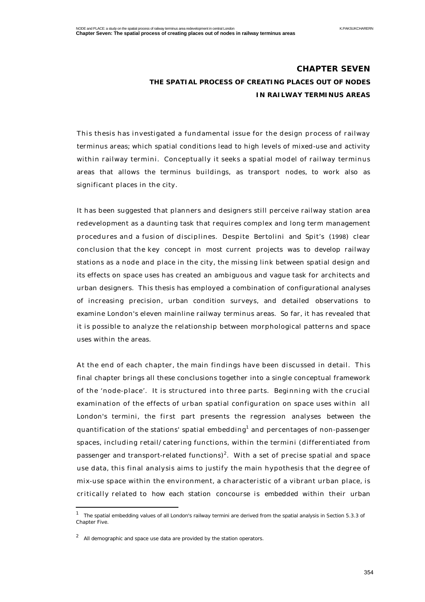# **CHAPTER SEVEN THE SPATIAL PROCESS OF CREATING PLACES OUT OF NODES IN RAILWAY TERMINUS AREAS**

This thesis has investigated a fundamental issue for the design process of railway terminus areas; which spatial conditions lead to high levels of mixed-use and activity within railway termini. Conceptually it seeks a spatial model of railway terminus areas that allows the terminus buildings, as transport nodes, to work also as significant places in the city.

It has been suggested that planners and designers still perceive railway station area redevelopment as a daunting task that requires complex and long term management procedures and a fusion of disciplines. Despite Bertolini and Spit's (1998) clear conclusion that the key concept in most current projects was to develop railway stations as a node and place in the city, the missing link between spatial design and its effects on space uses has created an ambiguous and vague task for architects and urban designers. This thesis has employed a combination of configurational analyses of increasing precision, urban condition surveys, and detailed observations to examine London's eleven mainline railway terminus areas. So far, it has revealed that it is possible to analyze the relationship between morphological patterns and space uses within the areas.

At the end of each chapter, the main findings have been discussed in detail. This final chapter brings all these conclusions together into a single conceptual framework of the 'node-place'. It is structured into three parts. Beginning with the crucial examination of the effects of urban spatial configuration on space uses within all London's termini, the first part presents the regression analyses between the quantification of the stations' spatial embedding<sup>1</sup> and percentages of non-passenger spaces, including retail/catering functions, within the termini (differentiated from passenger and transport-related functions)<sup>2</sup>. With a set of precise spatial and space use data, this final analysis aims to justify the main hypothesis that the degree of mix-use space within the environment, a characteristic of a vibrant urban place, is critically related to how each station concourse is embedded within their urban

<sup>1</sup> The spatial embedding values of all London's railway termini are derived from the spatial analysis in Section 5.3.3 of Chapter Five.

 $2^{\circ}$  All demographic and space use data are provided by the station operators.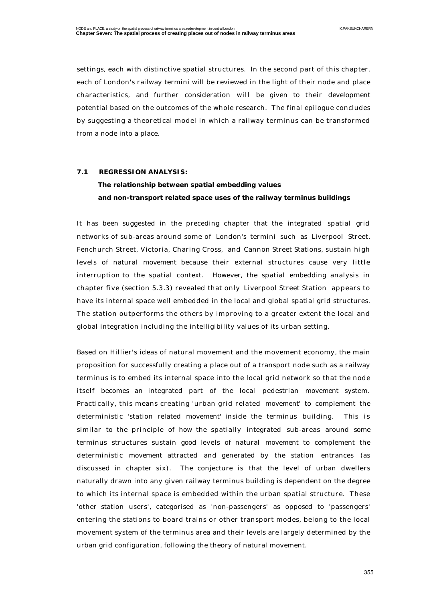settings, each with distinctive spatial structures. In the second part of this chapter, each of London's railway termini will be reviewed in the light of their node and place characteristics, and further consideration will be given to their development potential based on the outcomes of the whole research. The final epilogue concludes by suggesting a theoretical model in which a railway terminus can be transformed from a node into a place.

# **7.1 REGRESSION ANALYSIS: The relationship between spatial embedding values and non-transport related space uses of the railway terminus buildings**

It has been suggested in the preceding chapter that the integrated spatial grid networks of sub-areas around some of London's termini such as Liverpool Street, Fenchurch Street, Victoria, Charing Cross, and Cannon Street Stations, sustain high levels of natural movement because their external structures cause very little interruption to the spatial context. However, the spatial embedding analysis in chapter five (section 5.3.3) revealed that only Liverpool Street Station appears to have its internal space well embedded in the local and global spatial grid structures. The station outperforms the others by improving to a greater extent the local and global integration including the intelligibility values of its urban setting.

Based on Hillier's ideas of natural movement and the movement economy, the main proposition for successfully creating a place out of a transport node such as a railway terminus is to embed its internal space into the local grid network so that the node itself becomes an integrated part of the local pedestrian movement system. Practically, this means creating 'urban grid related movement' to complement the deterministic 'station related movement' inside the terminus building. This is similar to the principle of how the spatially integrated sub-areas around some terminus structures sustain good levels of natural movement to complement the deterministic movement attracted and generated by the station entrances (as discussed in chapter six). The conjecture is that the level of urban dwellers naturally drawn into any given railway terminus building is dependent on the degree to which its internal space is embedded within the urban spatial structure. These 'other station users', categorised as 'non-passengers' as opposed to 'passengers' entering the stations to board trains or other transport modes, belong to the local movement system of the terminus area and their levels are largely determined by the urban grid configuration, following the theory of natural movement.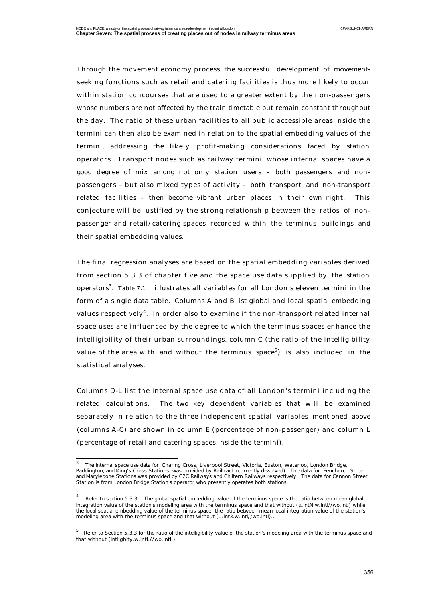Through the movement economy process, the successful development of movementseeking functions such as retail and catering facilities is thus more likely to occur within station concourses that are used to a greater extent by the non-passengers whose numbers are not affected by the train timetable but remain constant throughout the day. The ratio of these urban facilities to all public accessible areas inside the termini can then also be examined in relation to the spatial embedding values of the termini, addressing the likely profit-making considerations faced by station operators. Transport nodes such as railway termini, whose internal spaces have a good degree of mix among not only station users - both passengers and nonpassengers – but also mixed types of activity - both transport and non-transport related facilities - then become vibrant urban places in their own right. This conjecture will be justified by the strong relationship between the ratios of nonpassenger and retail/catering spaces recorded within the terminus buildings and their spatial embedding values.

The final regression analyses are based on the spatial embedding variables derived from section 5.3.3 of chapter five and the space use data supplied by the station operators<sup>3</sup>. Table 7.1 illustrates all variables for all London's eleven termini in the form of a single data table. Columns A and B list global and local spatial embedding values respectively $\rm ^4$ . In order also to examine if the non-transport related internal space uses are influenced by the degree to which the terminus spaces enhance the intelligibility of their urban surroundings, column C (the ratio of the intelligibility value of the area with and without the terminus space<sup>5</sup>) is also included in the statistical analyses.

Columns D-L list the internal space use data of all London's termini including the related calculations. The two key dependent variables that will be examined separately in relation to the three independent spatial variables mentioned above (columns A-C) are shown in column E (percentage of non-passenger) and column L (percentage of retail and catering spaces inside the termini).

 3 The internal space use data for *Charing Cross, Liverpool Street, Victoria, Euston, Waterloo, London Bridge, Paddington,* and *King's Cross Stations* was provided by Railtrack (currently dissolved). The data for *Fenchurch Street* and *Marylebone Stations* was provided by C2C Railways and Chiltern Railways respectively. The data for *Cannon Street Station* is from London Bridge Station's operator who presently operates both stations.

<sup>&</sup>lt;sup>4</sup> Refer to section 5.3.3. The global spatial embedding value of the terminus space is the ratio between mean global integration value of the station's modeling area with the terminus space and that without (µ.intN.w.intl//wo.intl) while the local spatial embedding value of the terminus space, the ratio between mean local integration value of the station's modeling area with the terminus space and that without ( $\mu$ .int3.w.intl//wo.intl)..

 $5$  Refer to Section 5.3.3 for the ratio of the intelligibility value of the station's modeling area with the terminus space and that without (intllgblty.w.intl.//wo.intl.)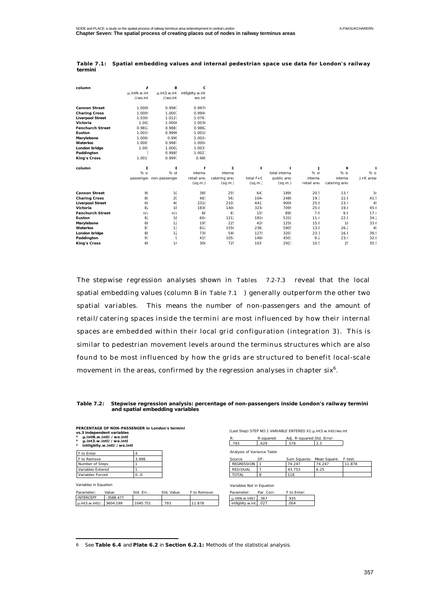| column                                   | A                        | в                      | C                |               |                 |               |              |               |                |
|------------------------------------------|--------------------------|------------------------|------------------|---------------|-----------------|---------------|--------------|---------------|----------------|
|                                          | $\mu$ . int $N$ . w. int | $\mu$ .int3.w.int      | intllgblty.w.int |               |                 |               |              |               |                |
|                                          | //wo.int                 | //wo.int               | wo.int           |               |                 |               |              |               |                |
| <b>Cannon Street</b>                     | 1.0006                   | 0.998                  | 0.9976           |               |                 |               |              |               |                |
| <b>Charing Cross</b>                     | 1.0009                   | 1.000                  | 0.9994           |               |                 |               |              |               |                |
| <b>Liverpool Street</b>                  | 1.0304                   | 1.012                  | 1.0767           |               |                 |               |              |               |                |
| <b>Victoria</b>                          | 1.002                    | 1.000                  | 1.0036           |               |                 |               |              |               |                |
| <b>Fenchurch Street</b>                  | 0.9812                   | 0.9883                 | 0.986            |               |                 |               |              |               |                |
| <b>Euston</b>                            | 1.0019                   | 0.9996                 | 1.0018           |               |                 |               |              |               |                |
| <b>Marylebone</b>                        | 1.0004                   | 0.999                  | 1.002            |               |                 |               |              |               |                |
| <b>Waterloo</b>                          | 1.0007                   | 0.998                  | 1.000            |               |                 |               |              |               |                |
| <b>London</b> bridge                     | 1.003                    | 1.000:                 | 1.0037           |               |                 |               |              |               |                |
| <b>Paddington</b>                        |                          | 0.998                  | 1.0021           |               |                 |               |              |               |                |
| <b>King's Cross</b>                      | 1.0017                   | 0.999'                 | 0.988            |               |                 |               |              |               |                |
| column                                   | D                        | п                      |                  | G             | н               | п             | J            | к             | п              |
|                                          |                          |                        |                  |               |                 |               |              |               |                |
|                                          | $%$ of                   | $%$ $\alpha$           | interna          | interna       |                 | total interna | $%$ $\alpha$ | % $\alpha$    | $%$ $\alpha$   |
|                                          |                          | passenger non-passenge | retail are:      | catering area | total $F + C$   | public area   | interna      | interna       | $J+K$ areas    |
|                                          |                          |                        | (sq.m.)          | (sq.m.)       | (sq.m.)         | (sq.m.)       | retail area  | catering area |                |
| <b>Cannon Street</b>                     | 90                       | 1(                     | 388              | 25!           | 643             | 1890          | 20.5         | 13.5          | 34             |
| <b>Charing Cross</b>                     | 80                       | 2(                     | 481              | 563           | 1044            | 2480          | 19.3         | 22.6          | 41.9           |
| <b>Liverpool Street</b>                  | 60                       | 40                     | 2310             | 2103          | 441.            | 9000          | 25.6         | 23.4          | 4 <sup>5</sup> |
| <b>Victoria</b>                          | 82                       | 15                     | 1830             | 1404          | 323.            | 7099          | 25.8         | 19.8          | 45.6           |
| <b>Fenchurch Street</b>                  | $n/\epsilon$             | n/i                    | 68               | 87            | 15 <sub>1</sub> | 890           | 7.6          | 9.8           | 17.4           |
| <b>Euston</b>                            | 82                       | $1\xi$                 | 60 <sub>4</sub>  | 1212          | 1810            | 5310          | 11.4         | 22.8          | 34.2           |
| <b>Marylebone</b>                        | 88                       | 1 <sup>2</sup>         | 195              | 225           | 420             | 1250          | 15.6         | $1\ell$       | 33.6           |
| <b>Waterloo</b>                          | 87                       | 15                     | 812              | 1550          | 236:            | 590.          | 13.5         | 26.1          | 40             |
| <b>London bridge</b>                     | 88                       | 1 <sup>2</sup>         | 738              | 540           | 1271            | 320.          | 23.1         | 16.8          | 39.9           |
| <b>Paddington</b><br><b>King's Cross</b> | 91<br>86                 | š                      | 415<br>308       | 1053<br>729   | 1468<br>103     | 450.<br>292   | 9.2<br>10.5  | 23.4<br>2:    | 32.6<br>35.5   |

#### **Table 7.1: Spatial embedding values and internal pedestrian space use data for London's railway termini**

The stepwise regression analyses shown in Tables 7.2-7.3 reveal that the local spatial embedding values (column B in Table 7.1 ) generally outperform the other two spatial variables. This means the number of non-passengers and the amount of retail/catering spaces inside the termini are most influenced by how their internal spaces are embedded within their local grid configuration (integration 3). This is similar to pedestrian movement levels around the terminus structures which are also found to be most influenced by how the grids are structured to benefit local-scale movement in the areas, confirmed by the regression analyses in chapter  $\mathrm{six}^6.$ 

### **Table 7.2: Stepwise regression analysis: percentage of non-passengers inside London's railway termini and spatial embedding variables**

|                               | PERCENTAGE OF NON-PASSENGER in London's termini<br>vs.3 independent variables<br>* µ.intN.w.intl//wo.intl<br>* µ.int3.w.intl//wo.intl |            |             |              | $\mathbb{R}$ :             | R-squared: | (Last Step) STEP NO.1 VARIABLE ENTERED X1: µ.int3.w.intl//wo.int<br>Adi. R-squared: Std. Error: |              |         |
|-------------------------------|---------------------------------------------------------------------------------------------------------------------------------------|------------|-------------|--------------|----------------------------|------------|-------------------------------------------------------------------------------------------------|--------------|---------|
|                               | * intllgblty.w.intl//wo.intl                                                                                                          |            |             |              | .793                       | .629       | .576                                                                                            | 2.5          |         |
| F to Enter                    |                                                                                                                                       |            |             |              | Analysis of Variance Table |            |                                                                                                 |              |         |
| F to Remove                   |                                                                                                                                       | 3.996      |             |              | Source                     | DF:        | <b>Sum Squares:</b>                                                                             | Mean Square: | F-test: |
| Number of Steps               |                                                                                                                                       |            |             |              | <b>REGRESSION</b>          |            | 74.247                                                                                          | 74.247       | 11.878  |
| Variables Entered             |                                                                                                                                       |            |             |              | <b>RESIDUAL</b>            |            | 43.753                                                                                          | 6.25         |         |
| Variables Forced              |                                                                                                                                       | 00         |             |              | <b>TOTAL</b>               | 8          | 118                                                                                             |              |         |
| Variables in Equation         |                                                                                                                                       |            |             |              | Variables Not in Equation  |            |                                                                                                 |              |         |
| Parameter:                    | Value:                                                                                                                                | Std. Err.: | Std. Value: | F to Remove: | Parameter:                 | Par. Corr: | F to Enter:                                                                                     |              |         |
| <b>INTERCEPT</b>              | $-3588.477$                                                                                                                           |            |             |              | $\mu$ .intN.w.intl//367    |            | .935                                                                                            |              |         |
| $\mu$ .int3.w.intl// 3604.199 |                                                                                                                                       | 1045.751   | .793        | 11.878       | intllgblty.w.int.l027      |            | .004                                                                                            |              |         |

 $\overline{a}$ 6 See **Table 6.4** and **Plate 6.2** in **Section 6.2.1:** *Methods of the statistical analysis*.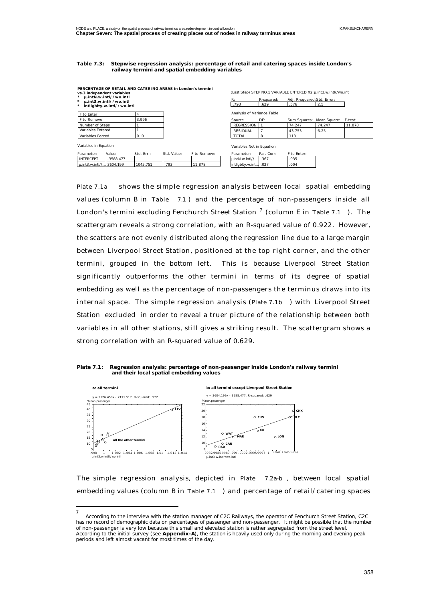| Table 7.3: Stepwise regression analysis: percentage of retail and catering spaces inside London's |
|---------------------------------------------------------------------------------------------------|
| railway termini and spatial embedding variables                                                   |

**PERCENTAGE OF RETAIL AND CATERING AREAS in London's termini** 

**vs.3 independent variables \* µ.intN.w.intl//wo.intl \* µ.int3.w.intl//wo.intl** 

| F to Enter              |       |
|-------------------------|-------|
| F to Remove             | 3.996 |
| Number of Steps         |       |
| Variables Entered       |       |
| <b>Variables Forced</b> | 0.0   |

(Last Step) STEP NO.1 VARIABLE ENTERED X2:µ.int3.w.intl//wo.int R: .793 R-squared: .629 Adj. R-squared: Std. Error: .576 2.5

Analysis of Variance Table DF: Sum Squares: Mean Square: F-test: Source

.367 .935

 $.004$ 

Variables Not in Equation

intllgblty.w.int…

 $\mu$ intN.w.intl//. .367

Parameter: Par. Corr: F to Enter:

| <b>REGRESSION</b> |   | 74.247 | 74.247 | 11.878 |
|-------------------|---|--------|--------|--------|
| <b>RESIDUAL</b>   |   | 43.753 | 6.25   |        |
| <b>TOTAL</b>      | o | 118    |        |        |
|                   |   |        |        |        |

Variables in Equation

 $\overline{a}$ 

| Parameter:                    | Value:      | Std. Err.: | Std. Value: | F to Remove: |
|-------------------------------|-------------|------------|-------------|--------------|
| <b>INTERCEPT</b>              | $-3588.477$ |            |             |              |
| $\mu$ .int3.w.intl// 3604.199 |             | 1045.751   | 793         | 11.878       |

Plate 7.1a shows the simple regression analysis between local spatial embedding values (column B in Table 7.1 ) and the percentage of non-passengers inside all London's termini excluding Fenchurch Street Station  $^7$  (column E in Table 7.1  $\,$  ). The scattergram reveals a strong correlation, with an R-squared value of 0.922. However, the scatters are not evenly distributed along the regression line due to a large margin between Liverpool Street Station, positioned at the top right corner, and the other termini, grouped in the bottom left. This is because Liverpool Street Station significantly outperforms the other termini in terms of its degree of spatial embedding as well as the percentage of non-passengers the terminus draws into its internal space. The simple regression analysis (Plate 7.1b ) with Liverpool Street Station excluded in order to reveal a truer picture of the relationship between both variables in all other stations, still gives a striking result. The scattergram shows a strong correlation with an R-squared value of 0.629.

**Plate 7.1: Regression analysis: percentage of non-passenger inside London's railway termini and their local spatial embedding values**



The simple regression analysis, depicted in Plate 7.2a-b , between local spatial embedding values (column B in Table 7.1 ) and percentage of retail/catering spaces

<sup>7</sup> According to the interview with the station manager of C2C Railways, the operator of Fenchurch Street Station, C2C has no record of demographic data on percentages of passenger and non-passenger. It might be possible that the number of non-passenger is very low because this small and elevated station is rather segregated from the street level. According to the initial survey (see **Appendix-A**), the station is heavily used only during the morning and evening peak periods and left almost vacant for most times of the day.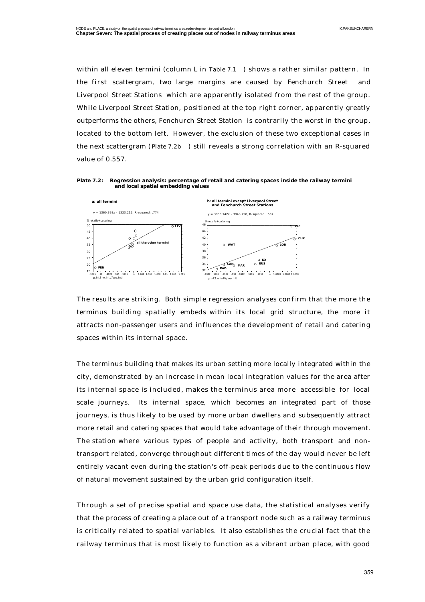within all eleven termini (column L in Table 7.1 ) shows a rather similar pattern. In the first scattergram, two large margins are caused by Fenchurch Street Liverpool Street Stations which are apparently isolated from the rest of the group. While Liverpool Street Station, positioned at the top right corner, apparently greatly outperforms the others, Fenchurch Street Station is contrarily the worst in the group, located to the bottom left. However, the exclusion of these two exceptional cases in the next scattergram (Plate 7.2b ) still reveals a strong correlation with an R-squared value of 0.557.

**Plate 7.2: Regression analysis: percentage of retail and catering spaces inside the railway termini and local spatial embedding values**



The results are striking. Both simple regression analyses confirm that the more the terminus building spatially embeds within its local grid structure, the more it attracts non-passenger users and influences the development of retail and catering spaces within its internal space.

The terminus building that makes its urban setting more locally integrated within the city, demonstrated by an increase in mean local integration values for the area after its internal space is included, makes the terminus area more accessible for local scale journeys. Its internal space, which becomes an integrated part of those journeys, is thus likely to be used by more urban dwellers and subsequently attract more retail and catering spaces that would take advantage of their through movement. The station where various types of people and activity, both transport and nontransport related, converge throughout different times of the day would never be left entirely vacant even during the station's off-peak periods due to the continuous flow of natural movement sustained by the urban grid configuration itself.

Through a set of precise spatial and space use data, the statistical analyses verify that the process of creating a place out of a transport node such as a railway terminus is critically related to spatial variables. It also establishes the crucial fact that the railway terminus that is most likely to function as a vibrant urban place, with good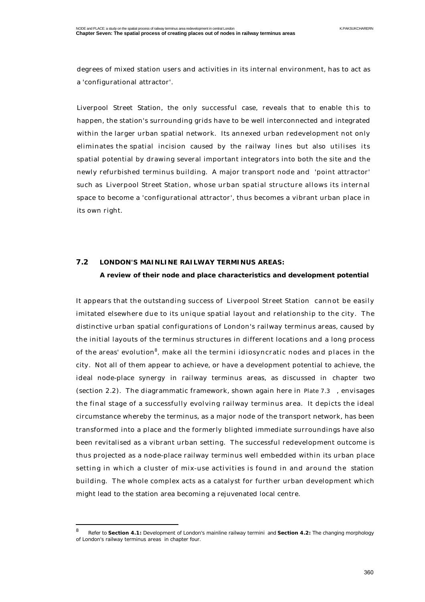degrees of mixed station users and activities in its internal environment, has to act as a 'configurational attractor'.

Liverpool Street Station, the only successful case, reveals that to enable this to happen, the station's surrounding grids have to be well interconnected and integrated within the larger urban spatial network. Its annexed urban redevelopment not only eliminates the spatial incision caused by the railway lines but also utilises its spatial potential by drawing several important integrators into both the site and the newly refurbished terminus building. A major transport node and 'point attractor' such as Liverpool Street Station, whose urban spatial structure allows its internal space to become a 'configurational attractor', thus becomes a vibrant urban place in its own right.

## **7.2 LONDON'S MAINLINE RAILWAY TERMINUS AREAS: A review of their node and place characteristics and development potential**

It appears that the outstanding success of Liverpool Street Station cannot be easily imitated elsewhere due to its unique spatial layout and relationship to the city. The distinctive urban spatial configurations of London's railway terminus areas, caused by the initial layouts of the terminus structures in different locations and a long process of the areas' evolution $^{\rm 8}$ , make all the termini idiosyncratic nodes and places in the city. Not all of them appear to achieve, or have a development potential to achieve, the ideal node-place synergy in railway terminus areas, as discussed in chapter two (section 2.2). The diagrammatic framework, shown again here in Plate 7.3 , envisages the final stage of a successfully evolving railway terminus area. It depicts the ideal circumstance whereby the terminus, as a major node of the transport network, has been transformed into a place and the formerly blighted immediate surroundings have also been revitalised as a vibrant urban setting. The successful redevelopment outcome is thus projected as a node-place railway terminus well embedded within its urban place setting in which a cluster of mix-use activities is found in and around the station building. The whole complex acts as a catalyst for further urban development which might lead to the station area becoming a rejuvenated local centre.

<sup>8</sup> Refer to **Section 4.1:** *Development of London's mainline railway termini* and **Section 4.2:** *The changing morphology of London's railway terminus areas* in chapter four.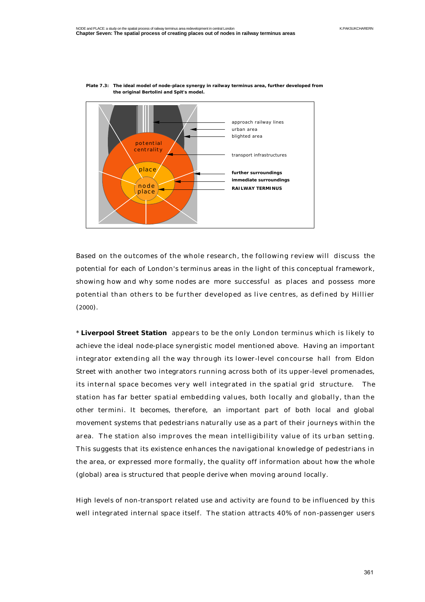

**Plate 7.3: The ideal model of node-place synergy in railway terminus area, further developed from the original Bertolini and Spit's model.**

Based on the outcomes of the whole research, the following review will discuss the potential for each of London's terminus areas in the light of this conceptual framework, showing how and why some nodes are more successful as places and possess more potential than others to be further developed as live centres, as defined by Hillier (2000).

\* **Liverpool Street Station** appears to be the only London terminus which is likely to achieve the ideal node-place synergistic model mentioned above. Having an important integrator extending all the way through its lower-level concourse hall from Eldon Street with another two integrators running across both of its upper-level promenades, its internal space becomes very well integrated in the spatial grid structure. The station has far better spatial embedding values, both locally and globally, than the other termini. It becomes, therefore, an important part of both local and global movement systems that pedestrians naturally use as a part of their journeys within the area. The station also improves the mean intelligibility value of its urban setting. This suggests that its existence enhances the navigational knowledge of pedestrians in the area, or expressed more formally, the quality off information about how the whole (global) area is structured that people derive when moving around locally.

High levels of non-transport related use and activity are found to be influenced by this well integrated internal space itself. The station attracts 40% of non-passenger users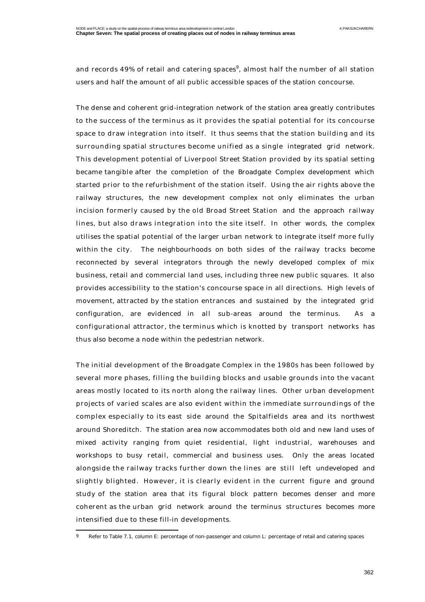and records 49% of retail and catering spaces $^9$ , almost half the number of all station users and half the amount of all public accessible spaces of the station concourse.

The dense and coherent grid-integration network of the station area greatly contributes to the success of the terminus as it provides the spatial potential for its concourse space to draw integration into itself. It thus seems that the station building and its surrounding spatial structures become unified as a single integrated grid network. This development potential of Liverpool Street Station provided by its spatial setting became tangible after the completion of the Broadgate Complex development which started prior to the refurbishment of the station itself. Using the air rights above the railway structures, the new development complex not only eliminates the urban incision formerly caused by the old Broad Street Station and the approach railway lines, but also draws integration into the site itself. In other words, the complex utilises the spatial potential of the larger urban network to integrate itself more fully within the city. The neighbourhoods on both sides of the railway tracks become reconnected by several integrators through the newly developed complex of mix business, retail and commercial land uses, including three new public squares. It also provides accessibility to the station's concourse space in all directions. High levels of movement, attracted by the station entrances and sustained by the integrated grid configuration, are evidenced in all sub-areas around the terminus. As a configurational attractor, the terminus which is knotted by transport networks has thus also become a node within the pedestrian network.

The initial development of the Broadgate Complex in the 1980s has been followed by several more phases, filling the building blocks and usable grounds into the vacant areas mostly located to its north along the railway lines. Other urban development projects of varied scales are also evident within the immediate surroundings of the complex especially to its east side around the Spitalfields area and its northwest around Shoreditch. The station area now accommodates both old and new land uses of mixed activity ranging from quiet residential, light industrial, warehouses and workshops to busy retail, commercial and business uses. Only the areas located alongside the railway tracks further down the lines are still left undeveloped and slightly blighted. However, it is clearly evident in the current figure and ground study of the station area that its figural block pattern becomes denser and more coherent as the urban grid network around the terminus structures becomes more intensified due to these fill-in developments.

<sup>9</sup> Refer to Table 7.1, column E: percentage of non-passenger and column L: percentage of retail and catering spaces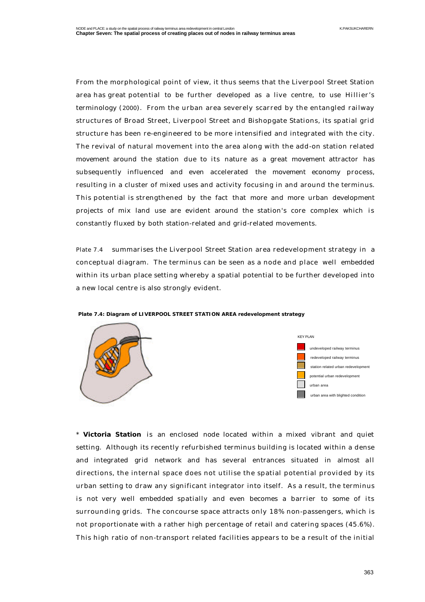From the morphological point of view, it thus seems that the Liverpool Street Station area has great potential to be further developed as a live centre, to use Hillier's terminology (2000). From the urban area severely scarred by the entangled railway structures of Broad Street, Liverpool Street and Bishopgate Stations, its spatial grid structure has been re-engineered to be more intensified and integrated with the city. The revival of natural movement into the area along with the add-on station related movement around the station due to its nature as a great movement attractor has subsequently influenced and even accelerated the movement economy process, resulting in a cluster of mixed uses and activity focusing in and around the terminus. This potential is strengthened by the fact that more and more urban development projects of mix land use are evident around the station's core complex which is constantly fluxed by both station-related and grid-related movements.

Plate 7.4 summarises the Liverpool Street Station area redevelopment strategy in a conceptual diagram. The terminus can be seen as a node and place well embedded within its urban place setting whereby a spatial potential to be further developed into a new local centre is also strongly evident.



**Plate 7.4: Diagram of LIVERPOOL STREET STATION AREA redevelopment strategy** 



\* **Victoria Station** is an enclosed node located within a mixed vibrant and quiet setting. Although its recently refurbished terminus building is located within a dense and integrated grid network and has several entrances situated in almost all directions, the internal space does not utilise the spatial potential provided by its urban setting to draw any significant integrator into itself. As a result, the terminus is not very well embedded spatially and even becomes a barrier to some of its surrounding grids. The concourse space attracts only 18% non-passengers, which is not proportionate with a rather high percentage of retail and catering spaces (45.6%). This high ratio of non-transport related facilities appears to be a result of the initial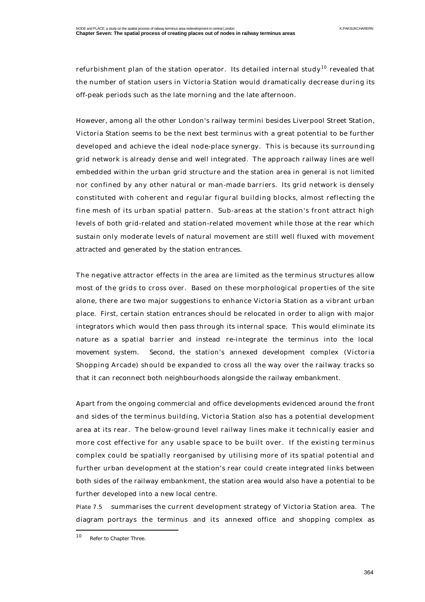refurbishment plan of the station operator. Its detailed internal study<sup>10</sup> revealed that the number of station users in Victoria Station would dramatically decrease during its off-peak periods such as the late morning and the late afternoon.

However, among all the other London's railway termini besides Liverpool Street Station, Victoria Station seems to be the next best terminus with a great potential to be further developed and achieve the ideal node-place synergy. This is because its surrounding grid network is already dense and well integrated. The approach railway lines are well embedded within the urban grid structure and the station area in general is not limited nor confined by any other natural or man-made barriers. Its grid network is densely constituted with coherent and regular figural building blocks, almost reflecting the fine mesh of its urban spatial pattern. Sub-areas at the station's front attract high levels of both grid-related and station-related movement while those at the rear which sustain only moderate levels of natural movement are still well fluxed with movement attracted and generated by the station entrances.

The negative attractor effects in the area are limited as the terminus structures allow most of the grids to cross over. Based on these morphological properties of the site alone, there are two major suggestions to enhance Victoria Station as a vibrant urban place. First, certain station entrances should be relocated in order to align with major integrators which would then pass through its internal space. This would eliminate its nature as a spatial barrier and instead re-integrate the terminus into the local movement system. Second, the station's annexed development complex (Victoria Shopping Arcade) should be expanded to cross all the way over the railway tracks so that it can reconnect both neighbourhoods alongside the railway embankment.

Apart from the ongoing commercial and office developments evidenced around the front and sides of the terminus building, Victoria Station also has a potential development area at its rear. The below-ground level railway lines make it technically easier and more cost effective for any usable space to be built over. If the existing terminus complex could be spatially reorganised by utilising more of its spatial potential and further urban development at the station's rear could create integrated links between both sides of the railway embankment, the station area would also have a potential to be further developed into a new local centre.

Plate 7.5 summarises the current development strategy of Victoria Station area. The diagram portrays the terminus and its annexed office and shopping complex as

 $10\,$ Refer to Chapter Three.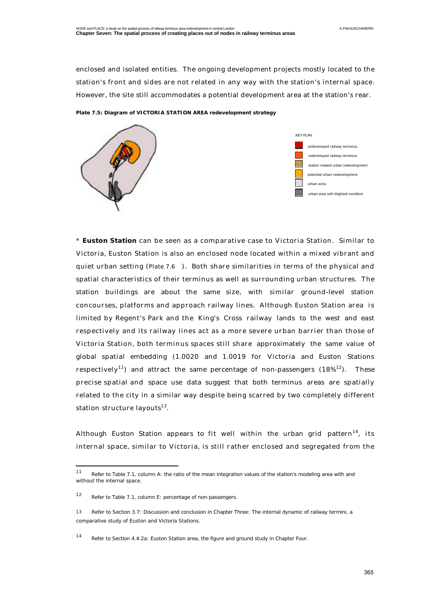**Plate 7.5: Diagram of VICTORIA STATION AREA redevelopment strategy** 

enclosed and isolated entities. The ongoing development projects mostly located to the station's front and sides are not related in any way with the station's internal space. However, the site still accommodates a potential development area at the station's rear.







\* **Euston Station** can be seen as a comparative case to Victoria Station. Similar to Victoria, Euston Station is also an enclosed node located within a mixed vibrant and quiet urban setting (Plate 7.6 ). Both share similarities in terms of the physical and spatial characteristics of their terminus as well as surrounding urban structures. The station buildings are about the same size, with similar ground-level station concourses, platforms and approach railway lines. Although Euston Station area is limited by Regent's Park and the King's Cross railway lands to the west and east respectively and its railway lines act as a more severe urban barrier than those of Victoria Station, both terminus spaces still share approximately the same value of global spatial embedding (1.0020 and 1.0019 for Victoria and Euston Stations respectively<sup>11</sup>) and attract the same percentage of non-passengers  $(18\%^{12})$ . These precise spatial and space use data suggest that both terminus areas are spatially related to the city in a similar way despite being scarred by two completely different station structure layouts $^{13}$ .

Although Euston Station appears to fit well within the urban grid pattern<sup>14</sup>, its internal space, similar to Victoria, is still rather enclosed and segregated from the

<sup>&</sup>lt;sup>11</sup> Refer to Table 7.1, column A: the ratio of the mean integration values of the station's modeling area with and without the internal space.

<sup>12</sup> Refer to Table 7.1, column E: percentage of non-passengers.

<sup>13</sup> Refer to Section 3.7: Discussion and conclusion in Chapter Three: The internal dynamic of railway termini, a comparative study of Euston and Victoria Stations.

<sup>14</sup> Refer to Section 4.4.2a: Euston Station area, the figure and ground study in Chapter Four.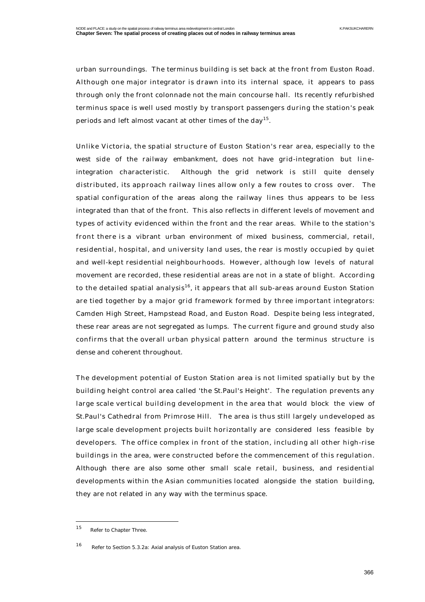urban surroundings. The terminus building is set back at the front from Euston Road. Although one major integrator is drawn into its internal space, it appears to pass through only the front colonnade not the main concourse hall. Its recently refurbished terminus space is well used mostly by transport passengers during the station's peak periods and left almost vacant at other times of the day<sup>15</sup>.

Unlike Victoria, the spatial structure of Euston Station's rear area, especially to the west side of the railway embankment, does not have grid-integration but lineintegration characteristic. Although the grid network is still quite densely distributed, its approach railway lines allow only a few routes to cross over. The spatial configuration of the areas along the railway lines thus appears to be less integrated than that of the front. This also reflects in different levels of movement and types of activity evidenced within the front and the rear areas. While to the station's front there is a vibrant urban environment of mixed business, commercial, retail, residential, hospital, and university land uses, the rear is mostly occupied by quiet and well-kept residential neighbourhoods. However, although low levels of natural movement are recorded, these residential areas are not in a state of blight. According to the detailed spatial analysis<sup>16</sup>, it appears that all sub-areas around Euston Station are tied together by a major grid framework formed by three important integrators: Camden High Street, Hampstead Road, and Euston Road. Despite being less integrated, these rear areas are not segregated as lumps. The current figure and ground study also confirms that the overall urban physical pattern around the terminus structure is dense and coherent throughout.

The development potential of Euston Station area is not limited spatially but by the building height control area called 'the St.Paul's Height'. The regulation prevents any large scale vertical building development in the area that would block the view of St.Paul's Cathedral from Primrose Hill. The area is thus still largely undeveloped as large scale development projects built horizontally are considered less feasible by developers. The office complex in front of the station, including all other high-rise buildings in the area, were constructed before the commencement of this regulation. Although there are also some other small scale retail, business, and residential developments within the Asian communities located alongside the station building, they are not related in any way with the terminus space.

<sup>15</sup> Refer to Chapter Three.

<sup>16</sup> Refer to Section 5.3.2a: Axial analysis of Euston Station area.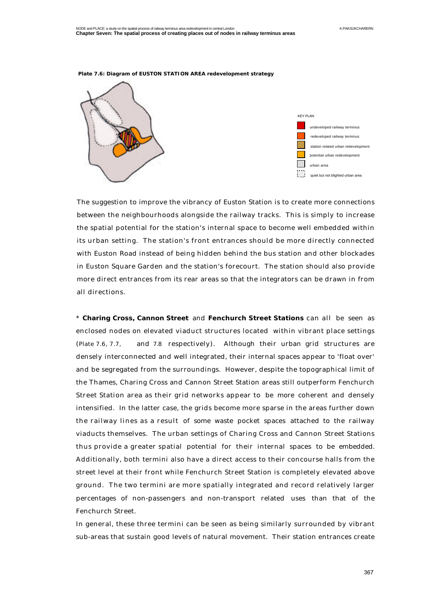



The suggestion to improve the vibrancy of Euston Station is to create more connections between the neighbourhoods alongside the railway tracks. This is simply to increase the spatial potential for the station's internal space to become well embedded within its urban setting. The station's front entrances should be more directly connected with Euston Road instead of being hidden behind the bus station and other blockades in Euston Square Garden and the station's forecourt. The station should also provide more direct entrances from its rear areas so that the integrators can be drawn in from all directions.

\* **Charing Cross, Cannon Street** and **Fenchurch Street Stations** can all be seen as enclosed nodes on elevated viaduct structures located within vibrant place settings (Plate 7.6, 7.7, and 7.8 respectively). Although their urban grid structures are densely interconnected and well integrated, their internal spaces appear to 'float over' and be segregated from the surroundings. However, despite the topographical limit of the Thames, Charing Cross and Cannon Street Station areas still outperform Fenchurch Street Station area as their grid networks appear to be more coherent and densely intensified. In the latter case, the grids become more sparse in the areas further down the railway lines as a result of some waste pocket spaces attached to the railway viaducts themselves. The urban settings of Charing Cross and Cannon Street Stations thus provide a greater spatial potential for their internal spaces to be embedded. Additionally, both termini also have a direct access to their concourse halls from the street level at their front while Fenchurch Street Station is completely elevated above ground. The two termini are more spatially integrated and record relatively larger percentages of non-passengers and non-transport related uses than that of the Fenchurch Street.

In general, these three termini can be seen as being similarly surrounded by vibrant sub-areas that sustain good levels of natural movement. Their station entrances create

**Plate 7.6: Diagram of EUSTON STATION AREA redevelopment strategy**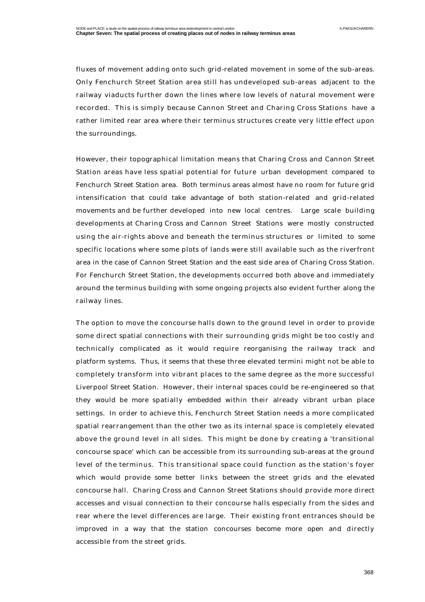fluxes of movement adding onto such grid-related movement in some of the sub-areas. Only Fenchurch Street Station area still has undeveloped sub-areas adjacent to the railway viaducts further down the lines where low levels of natural movement were recorded. This is simply because Cannon Street and Charing Cross Stations have a rather limited rear area where their terminus structures create very little effect upon the surroundings.

However, their topographical limitation means that Charing Cross and Cannon Street Station areas have less spatial potential for future urban development compared to Fenchurch Street Station area. Both terminus areas almost have no room for future grid intensification that could take advantage of both station-related and grid-related movements and be further developed into new local centres. Large scale building developments at Charing Cross and Cannon Street Stations were mostly constructed using the air-rights above and beneath the terminus structures or limited to some specific locations where some plots of lands were still available such as the riverfront area in the case of Cannon Street Station and the east side area of Charing Cross Station. For Fenchurch Street Station, the developments occurred both above and immediately around the terminus building with some ongoing projects also evident further along the railway lines.

The option to move the concourse halls down to the ground level in order to provide some direct spatial connections with their surrounding grids might be too costly and technically complicated as it would require reorganising the railway track and platform systems. Thus, it seems that these three elevated termini might not be able to completely transform into vibrant places to the same degree as the more successful Liverpool Street Station. However, their internal spaces could be re-engineered so that they would be more spatially embedded within their already vibrant urban place settings. In order to achieve this, Fenchurch Street Station needs a more complicated spatial rearrangement than the other two as its internal space is completely elevated above the ground level in all sides. This might be done by creating a 'transitional concourse space' which can be accessible from its surrounding sub-areas at the ground level of the terminus. This transitional space could function as the station's foyer which would provide some better links between the street grids and the elevated concourse hall. Charing Cross and Cannon Street Stations should provide more direct accesses and visual connection to their concourse halls especially from the sides and rear where the level differences are large. Their existing front entrances should be improved in a way that the station concourses become more open and directly accessible from the street grids.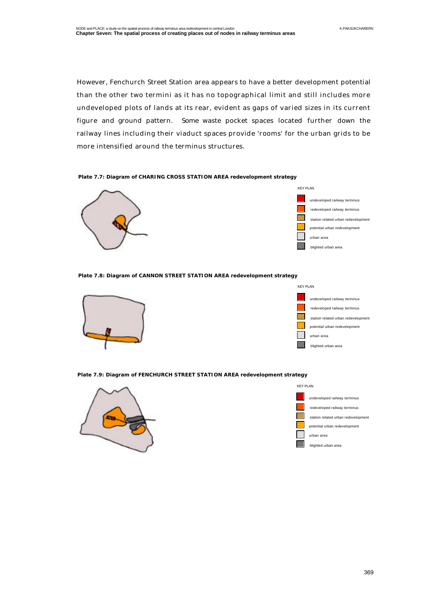However, Fenchurch Street Station area appears to have a better development potential than the other two termini as it has no topographical limit and still includes more undeveloped plots of lands at its rear, evident as gaps of varied sizes in its current figure and ground pattern. Some waste pocket spaces located further down the railway lines including their viaduct spaces provide 'rooms' for the urban grids to be more intensified around the terminus structures.







### **Plate 7.8: Diagram of CANNON STREET STATION AREA redevelopment strategy**





### **Plate 7.9: Diagram of FENCHURCH STREET STATION AREA redevelopment strategy**



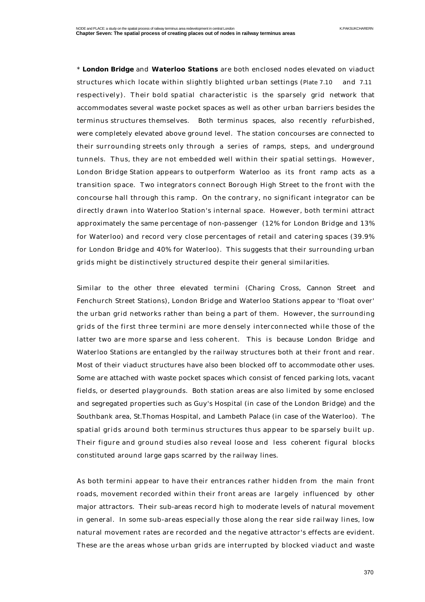\* **London Bridge** and **Waterloo Stations** are both enclosed nodes elevated on viaduct structures which locate within slightly blighted urban settings (Plate 7.10 and 7.11 respectively). Their bold spatial characteristic is the sparsely grid network that accommodates several waste pocket spaces as well as other urban barriers besides the terminus structures themselves. Both terminus spaces, also recently refurbished, were completely elevated above ground level. The station concourses are connected to their surrounding streets only through a series of ramps, steps, and underground tunnels. Thus, they are not embedded well within their spatial settings. However, London Bridge Station appears to outperform Waterloo as its front ramp acts as a transition space. Two integrators connect Borough High Street to the front with the concourse hall through this ramp. On the contrary, no significant integrator can be directly drawn into Waterloo Station's internal space. However, both termini attract approximately the same percentage of non-passenger (12% for London Bridge and 13% for Waterloo) and record very close percentages of retail and catering spaces (39.9% for London Bridge and 40% for Waterloo). This suggests that their surrounding urban grids might be distinctively structured despite their general similarities.

Similar to the other three elevated termini (Charing Cross, Cannon Street and Fenchurch Street Stations), London Bridge and Waterloo Stations appear to 'float over' the urban grid networks rather than being a part of them. However, the surrounding grids of the first three termini are more densely interconnected while those of the latter two are more sparse and less coherent. This is because London Bridge and Waterloo Stations are entangled by the railway structures both at their front and rear. Most of their viaduct structures have also been blocked off to accommodate other uses. Some are attached with waste pocket spaces which consist of fenced parking lots, vacant fields, or deserted playgrounds. Both station areas are also limited by some enclosed and segregated properties such as Guy's Hospital (in case of the London Bridge) and the Southbank area, St.Thomas Hospital, and Lambeth Palace (in case of the Waterloo). The spatial grids around both terminus structures thus appear to be sparsely built up. Their figure and ground studies also reveal loose and less coherent figural blocks constituted around large gaps scarred by the railway lines.

As both termini appear to have their entrances rather hidden from the main front roads, movement recorded within their front areas are largely influenced by other major attractors. Their sub-areas record high to moderate levels of natural movement in general. In some sub-areas especially those along the rear side railway lines, low natural movement rates are recorded and the negative attractor's effects are evident. These are the areas whose urban grids are interrupted by blocked viaduct and waste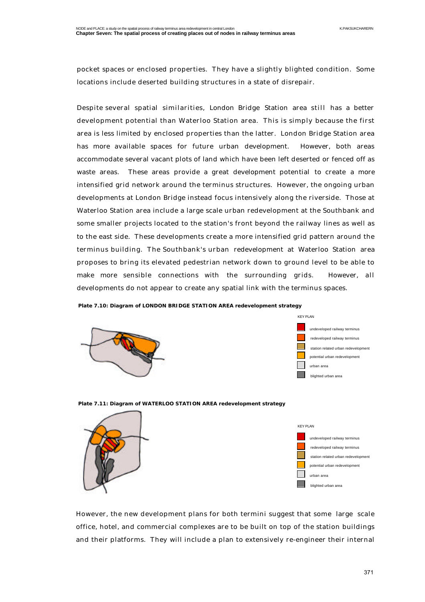pocket spaces or enclosed properties. They have a slightly blighted condition. Some locations include deserted building structures in a state of disrepair.

Despite several spatial similarities, London Bridge Station area still has a better development potential than Waterloo Station area. This is simply because the first area is less limited by enclosed properties than the latter. London Bridge Station area has more available spaces for future urban development. However, both areas accommodate several vacant plots of land which have been left deserted or fenced off as waste areas. These areas provide a great development potential to create a more intensified grid network around the terminus structures. However, the ongoing urban developments at London Bridge instead focus intensively along the riverside. Those at Waterloo Station area include a large scale urban redevelopment at the Southbank and some smaller projects located to the station's front beyond the railway lines as well as to the east side. These developments create a more intensified grid pattern around the terminus building. The Southbank's urban redevelopment at Waterloo Station area proposes to bring its elevated pedestrian network down to ground level to be able to make more sensible connections with the surrounding grids. However, all developments do not appear to create any spatial link with the terminus spaces.









**Plate 7.11: Diagram of WATERLOO STATION AREA redevelopment strategy** 



However, the new development plans for both termini suggest that some large scale office, hotel, and commercial complexes are to be built on top of the station buildings and their platforms. They will include a plan to extensively re-engineer their internal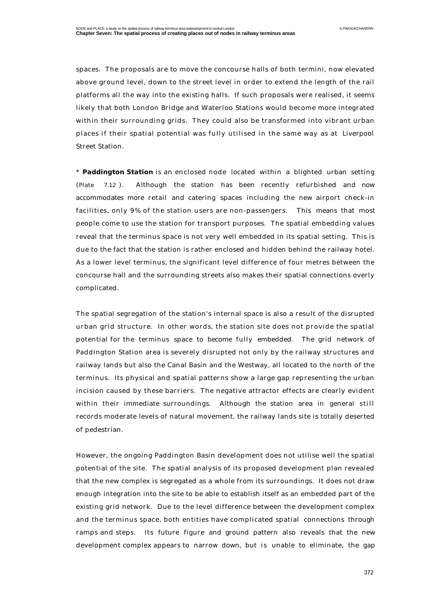spaces. The proposals are to move the concourse halls of both termini, now elevated above ground level, down to the street level in order to extend the length of the rail platforms all the way into the existing halls. If such proposals were realised, it seems likely that both London Bridge and Waterloo Stations would become more integrated within their surrounding grids. They could also be transformed into vibrant urban places if their spatial potential was fully utilised in the same way as at Liverpool Street Station.

\* **Paddington Station** is an enclosed node located within a blighted urban setting (Plate 7.12 ). Although the station has been recently refurbished and now accommodates more retail and catering spaces including the new airport check-in facilities, only 9% of the station users are non-passengers. This means that most people come to use the station for transport purposes. The spatial embedding values reveal that the terminus space is not very well embedded in its spatial setting. This is due to the fact that the station is rather enclosed and hidden behind the railway hotel. As a lower level terminus, the significant level difference of four metres between the concourse hall and the surrounding streets also makes their spatial connections overly complicated.

The spatial segregation of the station's internal space is also a result of the disrupted urban grid structure. In other words, the station site does not provide the spatial potential for the terminus space to become fully embedded. The grid network of Paddington Station area is severely disrupted not only by the railway structures and railway lands but also the Canal Basin and the Westway, all located to the north of the terminus. Its physical and spatial patterns show a large gap representing the urban incision caused by these barriers. The negative attractor effects are clearly evident within their immediate surroundings. Although the station area in general still records moderate levels of natural movement, the railway lands site is totally deserted of pedestrian.

However, the ongoing Paddington Basin development does not utilise well the spatial potential of the site. The spatial analysis of its proposed development plan revealed that the new complex is segregated as a whole from its surroundings. It does not draw enough integration into the site to be able to establish itself as an embedded part of the existing grid network. Due to the level difference between the development complex and the terminus space, both entities have complicated spatial connections through ramps and steps. Its future figure and ground pattern also reveals that the new development complex appears to narrow down, but is unable to eliminate, the gap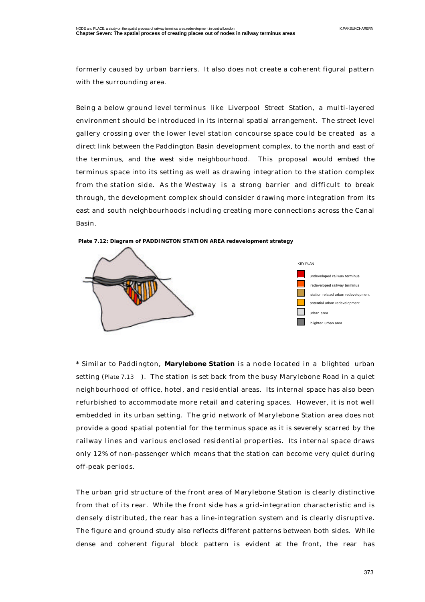formerly caused by urban barriers. It also does not create a coherent figural pattern with the surrounding area.

Being a below ground level terminus like Liverpool Street Station, a multi-layered environment should be introduced in its internal spatial arrangement. The street level gallery crossing over the lower level station concourse space could be created as a direct link between the Paddington Basin development complex, to the north and east of the terminus, and the west side neighbourhood. This proposal would embed the terminus space into its setting as well as drawing integration to the station complex from the station side. As the Westway is a strong barrier and difficult to break through, the development complex should consider drawing more integration from its east and south neighbourhoods including creating more connections across the Canal Basin.



**Plate 7.12: Diagram of PADDINGTON STATION AREA redevelopment strategy** 

\* Similar to Paddington, **Marylebone Station** is a node located in a blighted urban setting (Plate 7.13 ). The station is set back from the busy Marylebone Road in a quiet neighbourhood of office, hotel, and residential areas. Its internal space has also been refurbished to accommodate more retail and catering spaces. However, it is not well embedded in its urban setting. The grid network of Marylebone Station area does not provide a good spatial potential for the terminus space as it is severely scarred by the railway lines and various enclosed residential properties. Its internal space draws only 12% of non-passenger which means that the station can become very quiet during off-peak periods.

The urban grid structure of the front area of Marylebone Station is clearly distinctive from that of its rear. While the front side has a grid-integration characteristic and is densely distributed, the rear has a line-integration system and is clearly disruptive. The figure and ground study also reflects different patterns between both sides. While dense and coherent figural block pattern is evident at the front, the rear has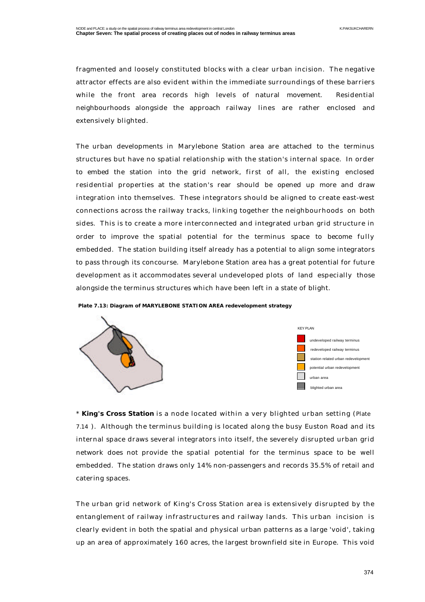fragmented and loosely constituted blocks with a clear urban incision. The negative attractor effects are also evident within the immediate surroundings of these barriers while the front area records high levels of natural movement. Residential neighbourhoods alongside the approach railway lines are rather enclosed and extensively blighted.

The urban developments in Marylebone Station area are attached to the terminus structures but have no spatial relationship with the station's internal space. In order to embed the station into the grid network, first of all, the existing enclosed residential properties at the station's rear should be opened up more and draw integration into themselves. These integrators should be aligned to create east-west connections across the railway tracks, linking together the neighbourhoods on both sides. This is to create a more interconnected and integrated urban grid structure in order to improve the spatial potential for the terminus space to become fully embedded. The station building itself already has a potential to align some integrators to pass through its concourse. Marylebone Station area has a great potential for future development as it accommodates several undeveloped plots of land especially those alongside the terminus structures which have been left in a state of blight.



**Plate 7.13: Diagram of MARYLEBONE STATION AREA redevelopment strategy** 



\* **King's Cross Station** is a node located within a very blighted urban setting (Plate 7.14 ). Although the terminus building is located along the busy Euston Road and its internal space draws several integrators into itself, the severely disrupted urban grid network does not provide the spatial potential for the terminus space to be well embedded. The station draws only 14% non-passengers and records 35.5% of retail and catering spaces.

The urban grid network of King's Cross Station area is extensively disrupted by the entanglement of railway infrastructures and railway lands. This urban incision is clearly evident in both the spatial and physical urban patterns as a large 'void', taking up an area of approximately 160 acres, the largest brownfield site in Europe. This void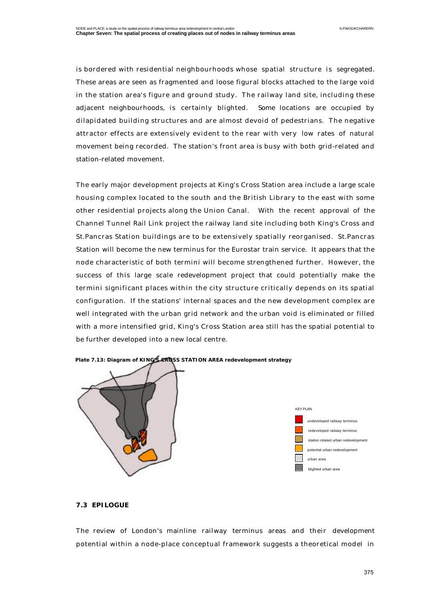is bordered with residential neighbourhoods whose spatial structure is segregated. These areas are seen as fragmented and loose figural blocks attached to the large void in the station area's figure and ground study. The railway land site, including these adjacent neighbourhoods, is certainly blighted. Some locations are occupied by dilapidated building structures and are almost devoid of pedestrians. The negative attractor effects are extensively evident to the rear with very low rates of natural movement being recorded. The station's front area is busy with both grid-related and station-related movement.

The early major development projects at King's Cross Station area include a large scale housing complex located to the south and the British Library to the east with some other residential projects along the Union Canal. With the recent approval of the Channel Tunnel Rail Link project the railway land site including both King's Cross and St.Pancras Station buildings are to be extensively spatially reorganised. St.Pancras Station will become the new terminus for the Eurostar train service. It appears that the node characteristic of both termini will become strengthened further. However, the success of this large scale redevelopment project that could potentially make the termini significant places within the city structure critically depends on its spatial configuration. If the stations' internal spaces and the new development complex are well integrated with the urban grid network and the urban void is eliminated or filled with a more intensified grid, King's Cross Station area still has the spatial potential to be further developed into a new local centre.



**Plate 7.13: Diagram of KING'S CROSS STATION AREA redevelopment strategy** 

### **7.3 EPILOGUE**

The review of London's mainline railway terminus areas and their development potential within a node-place conceptual framework suggests a theoretical model in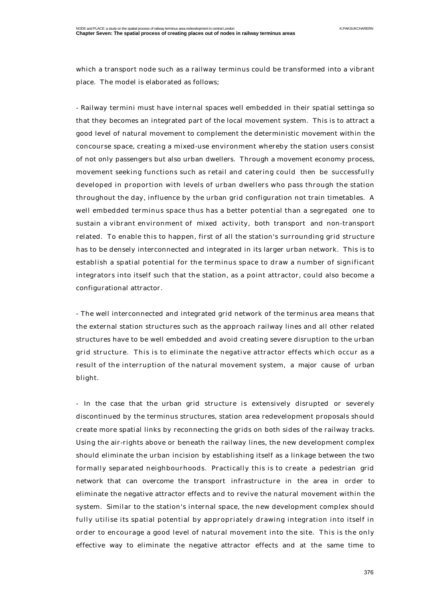which a transport node such as a railway terminus could be transformed into a vibrant place. The model is elaborated as follows;

- Railway termini must have internal spaces well embedded in their spatial settinga so that they becomes an integrated part of the local movement system. This is to attract a good level of natural movement to complement the deterministic movement within the concourse space, creating a mixed-use environment whereby the station users consist of not only passengers but also urban dwellers. Through a movement economy process, movement seeking functions such as retail and catering could then be successfully developed in proportion with levels of urban dwellers who pass through the station throughout the day, influence by the urban grid configuration not train timetables. A well embedded terminus space thus has a better potential than a segregated one to sustain a vibrant environment of mixed activity, both transport and non-transport related. To enable this to happen, first of all the station's surrounding grid structure has to be densely interconnected and integrated in its larger urban network. This is to establish a spatial potential for the terminus space to draw a number of significant integrators into itself such that the station, as a point attractor, could also become a configurational attractor.

- The well interconnected and integrated grid network of the terminus area means that the external station structures such as the approach railway lines and all other related structures have to be well embedded and avoid creating severe disruption to the urban grid structure. This is to eliminate the negative attractor effects which occur as a result of the interruption of the natural movement system, a major cause of urban blight.

- In the case that the urban grid structure is extensively disrupted or severely discontinued by the terminus structures, station area redevelopment proposals should create more spatial links by reconnecting the grids on both sides of the railway tracks. Using the air-rights above or beneath the railway lines, the new development complex should eliminate the urban incision by establishing itself as a linkage between the two formally separated neighbourhoods. Practically this is to create a pedestrian grid network that can overcome the transport infrastructure in the area in order to eliminate the negative attractor effects and to revive the natural movement within the system. Similar to the station's internal space, the new development complex should fully utilise its spatial potential by appropriately drawing integration into itself in order to encourage a good level of natural movement into the site. This is the only effective way to eliminate the negative attractor effects and at the same time to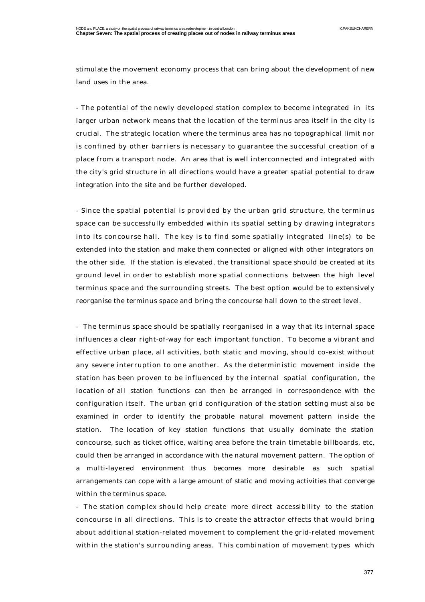stimulate the movement economy process that can bring about the development of new land uses in the area.

- The potential of the newly developed station complex to become integrated in its larger urban network means that the location of the terminus area itself in the city is crucial. The strategic location where the terminus area has no topographical limit nor is confined by other barriers is necessary to guarantee the successful creation of a place from a transport node. An area that is well interconnected and integrated with the city's grid structure in all directions would have a greater spatial potential to draw integration into the site and be further developed.

- Since the spatial potential is provided by the urban grid structure, the terminus space can be successfully embedded within its spatial setting by drawing integrators into its concourse hall. The key is to find some spatially integrated line(s) to be extended into the station and make them connected or aligned with other integrators on the other side. If the station is elevated, the transitional space should be created at its ground level in order to establish more spatial connections between the high level terminus space and the surrounding streets. The best option would be to extensively reorganise the terminus space and bring the concourse hall down to the street level.

- The terminus space should be spatially reorganised in a way that its internal space influences a clear right-of-way for each important function. To become a vibrant and effective urban place, all activities, both static and moving, should co-exist without any severe interruption to one another. As the deterministic movement inside the station has been proven to be influenced by the internal spatial configuration, the location of all station functions can then be arranged in correspondence with the configuration itself. The urban grid configuration of the station setting must also be examined in order to identify the probable natural movement pattern inside the station. The location of key station functions that usually dominate the station concourse, such as ticket office, waiting area before the train timetable billboards, etc, could then be arranged in accordance with the natural movement pattern. The option of a multi-layered environment thus becomes more desirable as such spatial arrangements can cope with a large amount of static and moving activities that converge within the terminus space.

- The station complex should help create more direct accessibility to the station concourse in all directions. This is to create the attractor effects that would bring about additional station-related movement to complement the grid-related movement within the station's surrounding areas. This combination of movement types which